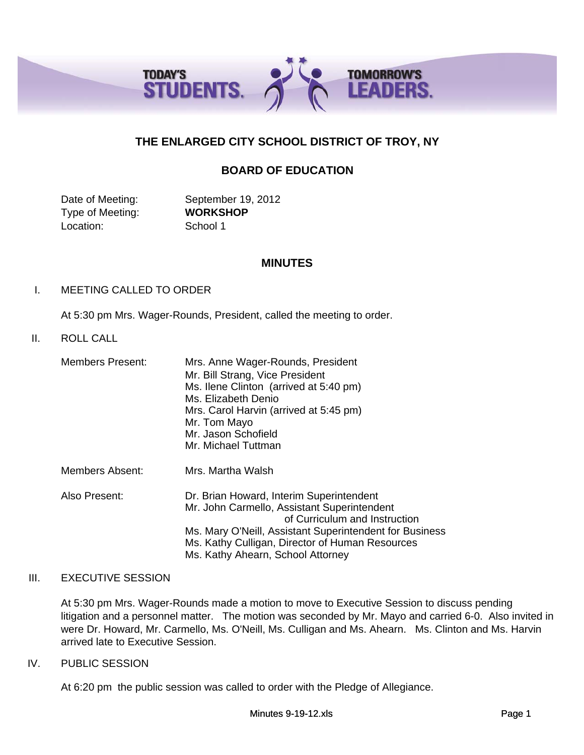

# **THE ENLARGED CITY SCHOOL DISTRICT OF TROY, NY**

# **BOARD OF EDUCATION**

Date of Meeting: September 19, 2012 Type of Meeting: **WORKSHOP** Location: School 1

### **MINUTES**

### I. MEETING CALLED TO ORDER

At 5:30 pm Mrs. Wager-Rounds, President, called the meeting to order.

### II. ROLL CALL

| <b>Members Present:</b> | Mrs. Anne Wager-Rounds, President<br>Mr. Bill Strang, Vice President<br>Ms. Ilene Clinton (arrived at 5:40 pm)<br>Ms. Elizabeth Denio<br>Mrs. Carol Harvin (arrived at 5:45 pm)<br>Mr. Tom Mayo<br>Mr. Jason Schofield<br>Mr. Michael Tuttman                               |
|-------------------------|-----------------------------------------------------------------------------------------------------------------------------------------------------------------------------------------------------------------------------------------------------------------------------|
| Members Absent:         | Mrs. Martha Walsh                                                                                                                                                                                                                                                           |
| Also Present:           | Dr. Brian Howard, Interim Superintendent<br>Mr. John Carmello, Assistant Superintendent<br>of Curriculum and Instruction<br>Ms. Mary O'Neill, Assistant Superintendent for Business<br>Ms. Kathy Culligan, Director of Human Resources<br>Ms. Kathy Ahearn, School Attorney |

### III. EXECUTIVE SESSION

At 5:30 pm Mrs. Wager-Rounds made a motion to move to Executive Session to discuss pending litigation and a personnel matter. The motion was seconded by Mr. Mayo and carried 6-0. Also invited in were Dr. Howard, Mr. Carmello, Ms. O'Neill, Ms. Culligan and Ms. Ahearn. Ms. Clinton and Ms. Harvin arrived late to Executive Session.

### IV. PUBLIC SESSION

At 6:20 pm the public session was called to order with the Pledge of Allegiance.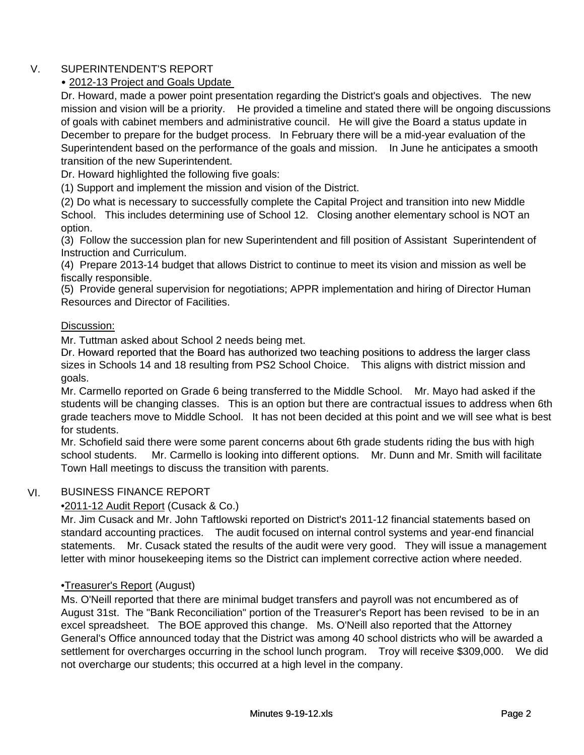# V. SUPERINTENDENT'S REPORT

# • 2012-13 Project and Goals Update

Dr. Howard, made a power point presentation regarding the District's goals and objectives. The new mission and vision will be a priority. He provided a timeline and stated there will be ongoing discussions of goals with cabinet members and administrative council. He will give the Board a status update in December to prepare for the budget process. In February there will be a mid-year evaluation of the Superintendent based on the performance of the goals and mission. In June he anticipates a smooth transition of the new Superintendent.

Dr. Howard highlighted the following five goals:

(1) Support and implement the mission and vision of the District.

(2) Do what is necessary to successfully complete the Capital Project and transition into new Middle School. This includes determining use of School 12. Closing another elementary school is NOT an option.

(3) Follow the succession plan for new Superintendent and fill position of Assistant Superintendent of Instruction and Curriculum.

(4) Prepare 2013-14 budget that allows District to continue to meet its vision and mission as well be fiscally responsible.

(5) Provide general supervision for negotiations; APPR implementation and hiring of Director Human Resources and Director of Facilities.

# Discussion:

Mr. Tuttman asked about School 2 needs being met.

Dr. Howard reported that the Board has authorized two teaching positions to address the larger class sizes in Schools 14 and 18 resulting from PS2 School Choice. This aligns with district mission and goals.

Mr. Carmello reported on Grade 6 being transferred to the Middle School. Mr. Mayo had asked if the students will be changing classes. This is an option but there are contractual issues to address when 6th grade teachers move to Middle School. It has not been decided at this point and we will see what is best for students.

Mr. Schofield said there were some parent concerns about 6th grade students riding the bus with high school students. Mr. Carmello is looking into different options. Mr. Dunn and Mr. Smith will facilitate Town Hall meetings to discuss the transition with parents.

#### VI. BUSINESS FINANCE REPORT

# •2011-12 Audit Report (Cusack & Co.)

Mr. Jim Cusack and Mr. John Taftlowski reported on District's 2011-12 financial statements based on standard accounting practices. The audit focused on internal control systems and year-end financial statements. Mr. Cusack stated the results of the audit were very good. They will issue a management letter with minor housekeeping items so the District can implement corrective action where needed.

# •Treasurer's Report (August)

Ms. O'Neill reported that there are minimal budget transfers and payroll was not encumbered as of August 31st. The "Bank Reconciliation" portion of the Treasurer's Report has been revised to be in an excel spreadsheet. The BOE approved this change. Ms. O'Neill also reported that the Attorney General's Office announced today that the District was among 40 school districts who will be awarded a settlement for overcharges occurring in the school lunch program. Troy will receive \$309,000. We did not overcharge our students; this occurred at a high level in the company.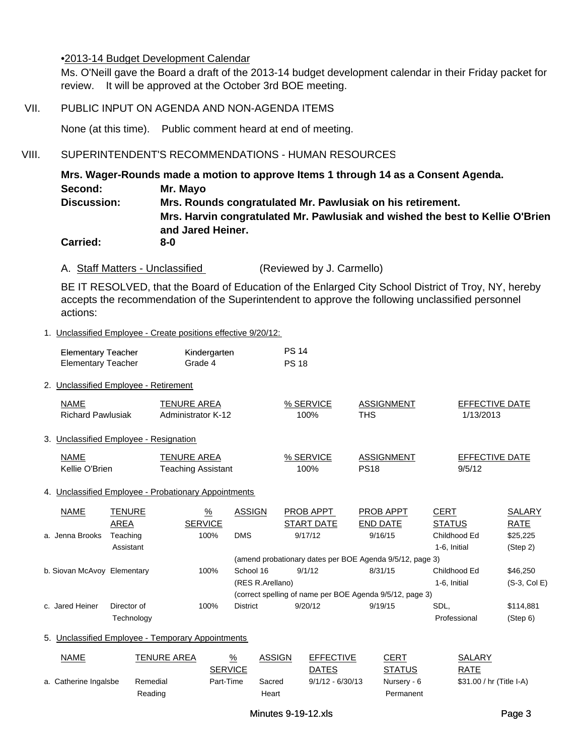### •2013-14 Budget Development Calendar

Ms. O'Neill gave the Board a draft of the 2013-14 budget development calendar in their Friday packet for review. It will be approved at the October 3rd BOE meeting.

### VII. PUBLIC INPUT ON AGENDA AND NON-AGENDA ITEMS

None (at this time). Public comment heard at end of meeting.

# VIII. SUPERINTENDENT'S RECOMMENDATIONS - HUMAN RESOURCES

**Mrs. Wager-Rounds made a motion to approve Items 1 through 14 as a Consent Agenda. Carried: 8-0 Discussion: Mrs. Rounds congratulated Mr. Pawlusiak on his retirement. Mrs. Harvin congratulated Mr. Pawlusiak and wished the best to Kellie O'Brien and Jared Heiner. Second: Mr. Mayo**

A. Staff Matters - Unclassified (Reviewed by J. Carmello)

BE IT RESOLVED, that the Board of Education of the Enlarged City School District of Troy, NY, hereby accepts the recommendation of the Superintendent to approve the following unclassified personnel actions:

1. Unclassified Employee - Create positions effective 9/20/12:

| <b>Elementary Teacher</b> | Kindergarten | <b>PS 14</b> |
|---------------------------|--------------|--------------|
| <b>Elementary Teacher</b> | Grade 4      | <b>PS 18</b> |

2. Unclassified Employee - Retirement

| NAME                     | TENURE AREA        | % SERVICE | ASSIGNMENT | <b>EFFECTIVE DATE</b> |
|--------------------------|--------------------|-----------|------------|-----------------------|
| <b>Richard Pawlusiak</b> | Administrator K-12 | 00%ا      | THS        | 1/13/2013             |

### 3. Unclassified Employee - Resignation

| <b>NAME</b>    | TENURE AREA        | % SERVICE | ASSIGNMENT | EFFECTIVE DATE |
|----------------|--------------------|-----------|------------|----------------|
| Kellie O'Brien | Teaching Assistant | 100%      | PS18       | 9/5/12         |

### 4. Unclassified Employee - Probationary Appointments

| <b>NAME</b>                 | TENURE      | $\frac{9}{6}$  | <b>ASSIGN</b>    | PROB APPT  | <b>PROB APPT</b>                                         | <b>CERT</b>   | <b>SALARY</b>  |
|-----------------------------|-------------|----------------|------------------|------------|----------------------------------------------------------|---------------|----------------|
|                             | AREA        | <b>SERVICE</b> |                  | START DATE | <b>END DATE</b>                                          | <b>STATUS</b> | RATE           |
| a. Jenna Brooks             | Teaching    | 100%           | <b>DMS</b>       | 9/17/12    | 9/16/15                                                  | Childhood Ed  | \$25,225       |
|                             | Assistant   |                |                  |            |                                                          | 1-6. Initial  | (Step 2)       |
|                             |             |                |                  |            | (amend probationary dates per BOE Agenda 9/5/12, page 3) |               |                |
| b. Siovan McAvoy Elementary |             | 100%           | School 16        | 9/1/12     | 8/31/15                                                  | Childhood Ed  | \$46,250       |
|                             |             |                | (RES R.Arellano) |            |                                                          | 1-6. Initial  | $(S-3, Col E)$ |
|                             |             |                |                  |            | (correct spelling of name per BOE Agenda 9/5/12, page 3) |               |                |
| c. Jared Heiner             | Director of | 100%           | <b>District</b>  | 9/20/12    | 9/19/15                                                  | SDL.          | \$114,881      |
|                             | Technology  |                |                  |            |                                                          | Professional  | (Step 6)       |

### 5. Unclassified Employee - Temporary Appointments

| <u>NAME</u>           | TENURE AREA | <u>%</u>       | ASSIGN | <b>EFFECTIVE</b>   | <b>CERT</b>   | SALARY                   |
|-----------------------|-------------|----------------|--------|--------------------|---------------|--------------------------|
|                       |             | <b>SERVICE</b> |        | DATES              | <b>STATUS</b> | <b>RATE</b>              |
| a. Catherine Ingalsbe | Remedial    | Part-Time      | Sacred | $9/1/12 - 6/30/13$ | Nurserv - 6   | \$31.00 / hr (Title I-A) |
|                       | Reading     |                | Heart  |                    | Permanent     |                          |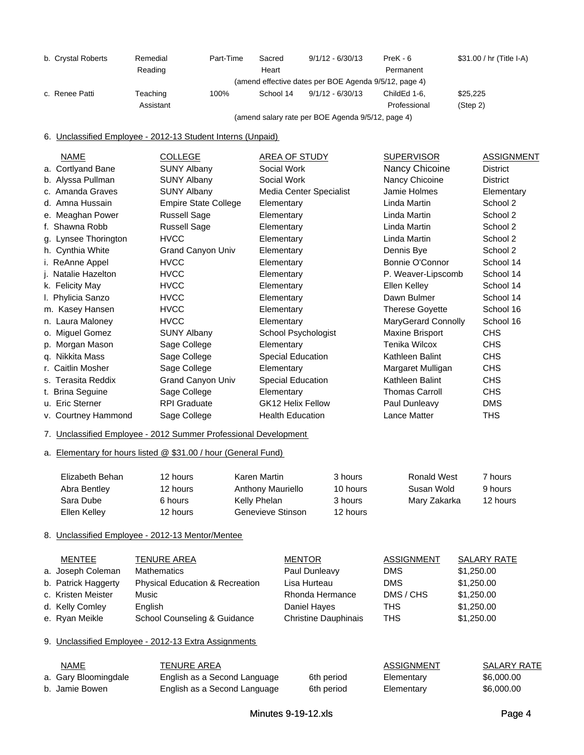| b. Crystal Roberts | Remedial  | Part-Time | Sacred    | $9/1/12 - 6/30/13$                                    | $PreK - 6$   | \$31.00 / hr (Title I-A) |
|--------------------|-----------|-----------|-----------|-------------------------------------------------------|--------------|--------------------------|
|                    | Reading   |           | Heart     |                                                       | Permanent    |                          |
|                    |           |           |           | (amend effective dates per BOE Agenda 9/5/12, page 4) |              |                          |
| c. Renee Patti     | Teaching  | 100%      | School 14 | $9/1/12 - 6/30/13$                                    | ChildEd 1-6. | \$25,225                 |
|                    | Assistant |           |           |                                                       | Professional | (Step 2)                 |
|                    |           |           |           | (amend salary rate per BOE Agenda 9/5/12, page 4)     |              |                          |

6. Unclassified Employee - 2012-13 Student Interns (Unpaid)

| <b>NAME</b>          | <b>COLLEGE</b>              | AREA OF STUDY            | <b>SUPERVISOR</b>      | <b>ASSIGNMENT</b> |
|----------------------|-----------------------------|--------------------------|------------------------|-------------------|
| a. Cortlyand Bane    | <b>SUNY Albany</b>          | Social Work              | Nancy Chicoine         | <b>District</b>   |
| b. Alyssa Pullman    | SUNY Albany                 | Social Work              | Nancy Chicoine         | <b>District</b>   |
| c. Amanda Graves     | <b>SUNY Albany</b>          | Media Center Specialist  | Jamie Holmes           | Elementary        |
| d. Amna Hussain      | <b>Empire State College</b> | Elementary               | Linda Martin           | School 2          |
| e. Meaghan Power     | <b>Russell Sage</b>         | Elementary               | Linda Martin           | School 2          |
| f. Shawna Robb       | Russell Sage                | Elementary               | Linda Martin           | School 2          |
| g. Lynsee Thorington | <b>HVCC</b>                 | Elementary               | Linda Martin           | School 2          |
| h. Cynthia White     | <b>Grand Canyon Univ</b>    | Elementary               | Dennis Bye             | School 2          |
| i. ReAnne Appel      | <b>HVCC</b>                 | Elementary               | Bonnie O'Connor        | School 14         |
| j. Natalie Hazelton  | <b>HVCC</b>                 | Elementary               | P. Weaver-Lipscomb     | School 14         |
| k. Felicity May      | <b>HVCC</b>                 | Elementary               | Ellen Kelley           | School 14         |
| I. Phylicia Sanzo    | <b>HVCC</b>                 | Elementary               | Dawn Bulmer            | School 14         |
| m. Kasey Hansen      | <b>HVCC</b>                 | Elementary               | <b>Therese Goyette</b> | School 16         |
| n. Laura Maloney     | <b>HVCC</b>                 | Elementary               | MaryGerard Connolly    | School 16         |
| o. Miguel Gomez      | <b>SUNY Albany</b>          | School Psychologist      | Maxine Brisport        | CHS               |
| p. Morgan Mason      | Sage College                | Elementary               | Tenika Wilcox          | <b>CHS</b>        |
| q. Nikkita Mass      | Sage College                | Special Education        | Kathleen Balint        | <b>CHS</b>        |
| r. Caitlin Mosher    | Sage College                | Elementary               | Margaret Mulligan      | CHS               |
| s. Terasita Reddix   | <b>Grand Canyon Univ</b>    | Special Education        | Kathleen Balint        | <b>CHS</b>        |
| t. Brina Seguine     | Sage College                | Elementary               | <b>Thomas Carroll</b>  | <b>CHS</b>        |
| u. Eric Sterner      | <b>RPI Graduate</b>         | <b>GK12 Helix Fellow</b> | Paul Dunleavy          | <b>DMS</b>        |
| v. Courtney Hammond  | Sage College                | <b>Health Education</b>  | Lance Matter           | <b>THS</b>        |
|                      |                             |                          |                        |                   |

7. Unclassified Employee - 2012 Summer Professional Development

a. Elementary for hours listed @ \$31.00 / hour (General Fund)

| Elizabeth Behan | 12 hours | Karen Martin      | 3 hours  | Ronald West  | 7 hours  |
|-----------------|----------|-------------------|----------|--------------|----------|
| Abra Bentley    | 12 hours | Anthony Mauriello | 10 hours | Susan Wold   | 9 hours  |
| Sara Dube       | 6 hours  | Kelly Phelan      | 3 hours  | Mary Zakarka | 12 hours |
| Ellen Kelley    | 12 hours | Genevieve Stinson | 12 hours |              |          |

### 8. Unclassified Employee - 2012-13 Mentor/Mentee

| MENTEE              | <b>TENURE AREA</b>                         | <b>MENTOR</b>               | <b>ASSIGNMENT</b> | <b>SALARY RATE</b> |
|---------------------|--------------------------------------------|-----------------------------|-------------------|--------------------|
| a. Joseph Coleman   | <b>Mathematics</b>                         | Paul Dunleavy               | <b>DMS</b>        | \$1,250.00         |
| b. Patrick Haggerty | <b>Physical Education &amp; Recreation</b> | Lisa Hurteau                | <b>DMS</b>        | \$1,250.00         |
| c. Kristen Meister  | Music                                      | Rhonda Hermance             | DMS / CHS         | \$1,250.00         |
| d. Kelly Comley     | English                                    | Daniel Hayes                | THS               | \$1,250.00         |
| e. Ryan Meikle      | School Counseling & Guidance               | <b>Christine Dauphinais</b> | <b>THS</b>        | \$1,250.00         |

### 9. Unclassified Employee - 2012-13 Extra Assignments

| NAME                 | TENURE AREA                  |            | ASSIGNMENT | SALARY RATE |
|----------------------|------------------------------|------------|------------|-------------|
| a. Gary Bloomingdale | English as a Second Language | 6th period | Elementary | \$6,000,00  |
| b. Jamie Bowen       | English as a Second Language | 6th period | Elementary | \$6,000.00  |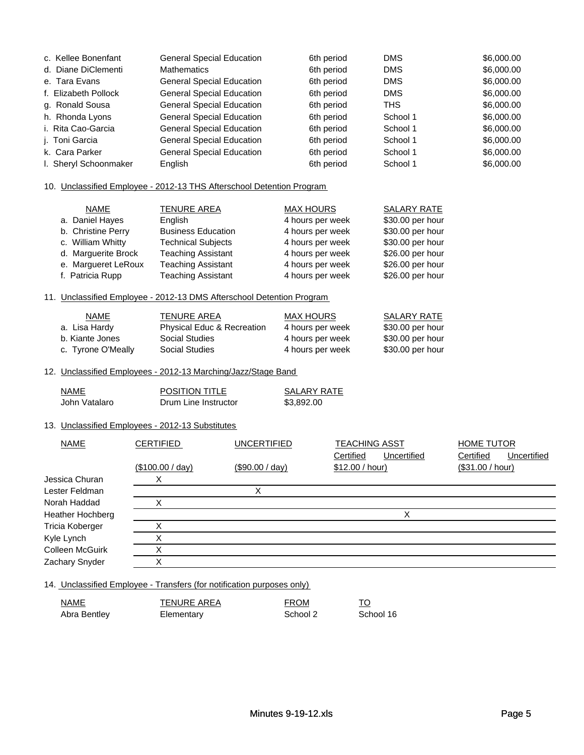| c. Kellee Bonenfant   | <b>General Special Education</b> | 6th period | <b>DMS</b> | \$6,000.00 |
|-----------------------|----------------------------------|------------|------------|------------|
| d. Diane DiClementi   | <b>Mathematics</b>               | 6th period | <b>DMS</b> | \$6,000.00 |
| e. Tara Evans         | <b>General Special Education</b> | 6th period | <b>DMS</b> | \$6,000.00 |
| f. Elizabeth Pollock  | <b>General Special Education</b> | 6th period | <b>DMS</b> | \$6,000.00 |
| g. Ronald Sousa       | <b>General Special Education</b> | 6th period | <b>THS</b> | \$6,000.00 |
| h. Rhonda Lyons       | <b>General Special Education</b> | 6th period | School 1   | \$6,000.00 |
| i. Rita Cao-Garcia    | <b>General Special Education</b> | 6th period | School 1   | \$6,000.00 |
| i. Toni Garcia        | <b>General Special Education</b> | 6th period | School 1   | \$6,000.00 |
| k. Cara Parker        | <b>General Special Education</b> | 6th period | School 1   | \$6,000.00 |
| I. Sheryl Schoonmaker | English                          | 6th period | School 1   | \$6,000,00 |

#### 10. Unclassified Employee - 2012-13 THS Afterschool Detention Program

| <b>NAME</b>         | <b>TENURE AREA</b>        | <b>MAX HOURS</b> | <b>SALARY RATE</b> |
|---------------------|---------------------------|------------------|--------------------|
| a. Daniel Hayes     | English                   | 4 hours per week | \$30.00 per hour   |
| b. Christine Perry  | <b>Business Education</b> | 4 hours per week | \$30.00 per hour   |
| c. William Whitty   | <b>Technical Subjects</b> | 4 hours per week | \$30.00 per hour   |
| d. Marguerite Brock | <b>Teaching Assistant</b> | 4 hours per week | \$26.00 per hour   |
| e. Margueret LeRoux | <b>Teaching Assistant</b> | 4 hours per week | \$26.00 per hour   |
| f. Patricia Rupp    | <b>Teaching Assistant</b> | 4 hours per week | \$26.00 per hour   |

#### 11. Unclassified Employee - 2012-13 DMS Afterschool Detention Program

| <b>NAME</b>        | TENURE AREA                           | MAX HOURS        | SALARY RATE      |
|--------------------|---------------------------------------|------------------|------------------|
| a. Lisa Hardy      | <b>Physical Educ &amp; Recreation</b> | 4 hours per week | \$30.00 per hour |
| b. Kiante Jones    | Social Studies                        | 4 hours per week | \$30.00 per hour |
| c. Tyrone O'Meally | Social Studies                        | 4 hours per week | \$30.00 per hour |

#### 12. Unclassified Employees - 2012-13 Marching/Jazz/Stage Band

| NAME          | <b>POSITION TITLE</b> | <b>SALARY RATE</b> |
|---------------|-----------------------|--------------------|
| John Vatalaro | Drum Line Instructor  | \$3,892.00         |

### 13. Unclassified Employees - 2012-13 Substitutes

| NAME             | <b>CERTIFIED</b> | <b>UNCERTIFIED</b> | <b>TEACHING ASST</b>     | <b>HOME TUTOR</b>        |
|------------------|------------------|--------------------|--------------------------|--------------------------|
|                  |                  |                    | Certified<br>Uncertified | Certified<br>Uncertified |
|                  | (\$100.00 / day) | $(\$90.00 / day)$  | \$12.00 / hour)          | (\$31.00 / hour)         |
| Jessica Churan   | Χ                |                    |                          |                          |
| Lester Feldman   |                  |                    |                          |                          |
| Norah Haddad     |                  |                    |                          |                          |
| Heather Hochberg |                  |                    | v<br>⋏                   |                          |
| Tricia Koberger  | $\check{ }$<br>⋏ |                    |                          |                          |
| Kyle Lynch       |                  |                    |                          |                          |
| Colleen McGuirk  | Χ                |                    |                          |                          |
| Zachary Snyder   | v                |                    |                          |                          |

14. Unclassified Employee - Transfers (for notification purposes only)

| NAME         | TENURE AREA | <b>FROM</b> |           |
|--------------|-------------|-------------|-----------|
| Abra Bentley | Elementary  | School 2    | School 16 |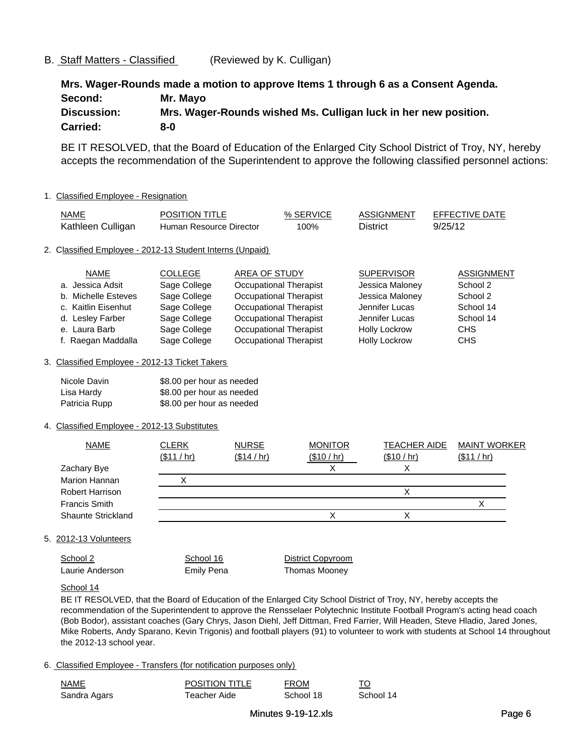### B. Staff Matters - Classified (Reviewed by K. Culligan)

**Mrs. Wager-Rounds made a motion to approve Items 1 through 6 as a Consent Agenda. Carried: 8-0 Second: Mr. Mayo Discussion: Mrs. Wager-Rounds wished Ms. Culligan luck in her new position.**

BE IT RESOLVED, that the Board of Education of the Enlarged City School District of Troy, NY, hereby accepts the recommendation of the Superintendent to approve the following classified personnel actions:

### 1. Classified Employee - Resignation

| NAME              | <b>POSITION TITLE</b>   | % SERVICE | ASSIGNMENT | EFFECTIVE DATE |
|-------------------|-------------------------|-----------|------------|----------------|
| Kathleen Culligan | Human Resource Director | 100%      | District   | 9/25/12        |

#### 2. Classified Employee - 2012-13 Student Interns (Unpaid)

| <b>NAME</b>         | <b>COLLEGE</b> | AREA OF STUDY                 | <b>SUPERVISOR</b>    | <b>ASSIGNMENT</b> |
|---------------------|----------------|-------------------------------|----------------------|-------------------|
| a. Jessica Adsit    | Sage College   | <b>Occupational Therapist</b> | Jessica Maloney      | School 2          |
| b. Michelle Esteves | Sage College   | Occupational Therapist        | Jessica Maloney      | School 2          |
| c. Kaitlin Eisenhut | Sage College   | <b>Occupational Therapist</b> | Jennifer Lucas       | School 14         |
| d. Lesley Farber    | Sage College   | Occupational Therapist        | Jennifer Lucas       | School 14         |
| e. Laura Barb       | Sage College   | Occupational Therapist        | <b>Holly Lockrow</b> | CHS               |
| f. Raegan Maddalla  | Sage College   | Occupational Therapist        | <b>Holly Lockrow</b> | <b>CHS</b>        |

#### 3. Classified Employee - 2012-13 Ticket Takers

| Nicole Davin  | \$8.00 per hour as needed |
|---------------|---------------------------|
| Lisa Hardv    | \$8.00 per hour as needed |
| Patricia Rupp | \$8.00 per hour as needed |

### 4. Classified Employee - 2012-13 Substitutes

| <b>NAME</b>            | <b>CLERK</b> | <b>NURSE</b> | <b>MONITOR</b> | <b>TEACHER AIDE</b> | <b>MAINT WORKER</b> |
|------------------------|--------------|--------------|----------------|---------------------|---------------------|
|                        | (\$11 / hr)  | (\$14 / hr)  | (\$10 / hr)    | (\$10 / hr)         | (\$11 / hr)         |
| Zachary Bye            |              |              |                |                     |                     |
| Marion Hannan          |              |              |                |                     |                     |
| <b>Robert Harrison</b> |              |              |                |                     |                     |
| <b>Francis Smith</b>   |              |              |                |                     |                     |
| Shaunte Strickland     |              |              |                |                     |                     |
|                        |              |              |                |                     |                     |

### 5. 2012-13 Volunteers

School 2 School 16 District Copyroom Laurie Anderson Emily Pena Thomas Mooney

### School 14

BE IT RESOLVED, that the Board of Education of the Enlarged City School District of Troy, NY, hereby accepts the recommendation of the Superintendent to approve the Rensselaer Polytechnic Institute Football Program's acting head coach (Bob Bodor), assistant coaches (Gary Chrys, Jason Diehl, Jeff Dittman, Fred Farrier, Will Headen, Steve Hladio, Jared Jones, Mike Roberts, Andy Sparano, Kevin Trigonis) and football players (91) to volunteer to work with students at School 14 throughout the 2012-13 school year.

### 6. Classified Employee - Transfers (for notification purposes only)

| NAME         | <b>POSITION TITLE</b> | <b>FROM</b> |           |
|--------------|-----------------------|-------------|-----------|
| Sandra Agars | Teacher Aide          | School 18   | School 14 |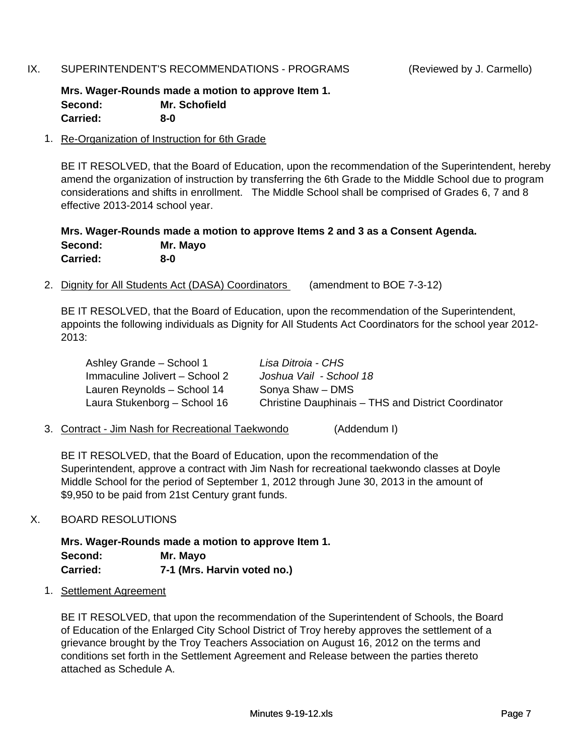# IX. SUPERINTENDENT'S RECOMMENDATIONS - PROGRAMS (Reviewed by J. Carmello)

**Mrs. Wager-Rounds made a motion to approve Item 1. Carried: 8-0 Second: Mr. Schofield**

# 1. Re-Organization of Instruction for 6th Grade

BE IT RESOLVED, that the Board of Education, upon the recommendation of the Superintendent, hereby amend the organization of instruction by transferring the 6th Grade to the Middle School due to program considerations and shifts in enrollment. The Middle School shall be comprised of Grades 6, 7 and 8 effective 2013-2014 school year.

**Mrs. Wager-Rounds made a motion to approve Items 2 and 3 as a Consent Agenda. Second: Mr. Mayo Carried: 8-0**

2. Dignity for All Students Act (DASA) Coordinators (amendment to BOE 7-3-12)

BE IT RESOLVED, that the Board of Education, upon the recommendation of the Superintendent, appoints the following individuals as Dignity for All Students Act Coordinators for the school year 2012- 2013:

| Ashley Grande - School 1       | Lisa Ditroia - CHS                                  |
|--------------------------------|-----------------------------------------------------|
| Immaculine Jolivert - School 2 | Joshua Vail - School 18                             |
| Lauren Reynolds - School 14    | Sonya Shaw - DMS                                    |
| Laura Stukenborg - School 16   | Christine Dauphinais - THS and District Coordinator |

3. Contract - Jim Nash for Recreational Taekwondo (Addendum I)

BE IT RESOLVED, that the Board of Education, upon the recommendation of the Superintendent, approve a contract with Jim Nash for recreational taekwondo classes at Doyle Middle School for the period of September 1, 2012 through June 30, 2013 in the amount of \$9,950 to be paid from 21st Century grant funds.

# X. BOARD RESOLUTIONS

**Mrs. Wager-Rounds made a motion to approve Item 1. Second: Mr. Mayo Carried: 7-1 (Mrs. Harvin voted no.)**

1. Settlement Agreement

BE IT RESOLVED, that upon the recommendation of the Superintendent of Schools, the Board of Education of the Enlarged City School District of Troy hereby approves the settlement of a grievance brought by the Troy Teachers Association on August 16, 2012 on the terms and conditions set forth in the Settlement Agreement and Release between the parties thereto attached as Schedule A.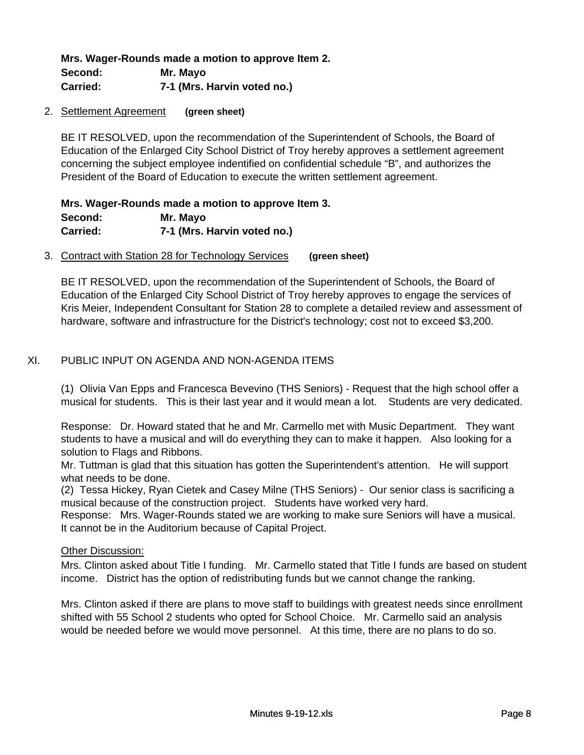**Mrs. Wager-Rounds made a motion to approve Item 2. Second: Mr. Mayo Carried: 7-1 (Mrs. Harvin voted no.)**

### 2. Settlement Agreement **(green sheet)**

BE IT RESOLVED, upon the recommendation of the Superintendent of Schools, the Board of Education of the Enlarged City School District of Troy hereby approves a settlement agreement concerning the subject employee indentified on confidential schedule "B", and authorizes the President of the Board of Education to execute the written settlement agreement.

# **Mrs. Wager-Rounds made a motion to approve Item 3. Carried: 7-1 (Mrs. Harvin voted no.) Second: Mr. Mayo**

### 3. Contract with Station 28 for Technology Services **(green sheet)**

BE IT RESOLVED, upon the recommendation of the Superintendent of Schools, the Board of Education of the Enlarged City School District of Troy hereby approves to engage the services of Kris Meier, Independent Consultant for Station 28 to complete a detailed review and assessment of hardware, software and infrastructure for the District's technology; cost not to exceed \$3,200.

# XI. PUBLIC INPUT ON AGENDA AND NON-AGENDA ITEMS

(1) Olivia Van Epps and Francesca Bevevino (THS Seniors) - Request that the high school offer a musical for students. This is their last year and it would mean a lot. Students are very dedicated.

Response: Dr. Howard stated that he and Mr. Carmello met with Music Department. They want students to have a musical and will do everything they can to make it happen. Also looking for a solution to Flags and Ribbons.

Mr. Tuttman is glad that this situation has gotten the Superintendent's attention. He will support what needs to be done.

(2) Tessa Hickey, Ryan Cietek and Casey Milne (THS Seniors) - Our senior class is sacrificing a musical because of the construction project. Students have worked very hard.

Response: Mrs. Wager-Rounds stated we are working to make sure Seniors will have a musical. It cannot be in the Auditorium because of Capital Project.

# Other Discussion:

Mrs. Clinton asked about Title I funding. Mr. Carmello stated that Title I funds are based on student income. District has the option of redistributing funds but we cannot change the ranking.

Mrs. Clinton asked if there are plans to move staff to buildings with greatest needs since enrollment shifted with 55 School 2 students who opted for School Choice. Mr. Carmello said an analysis would be needed before we would move personnel. At this time, there are no plans to do so.